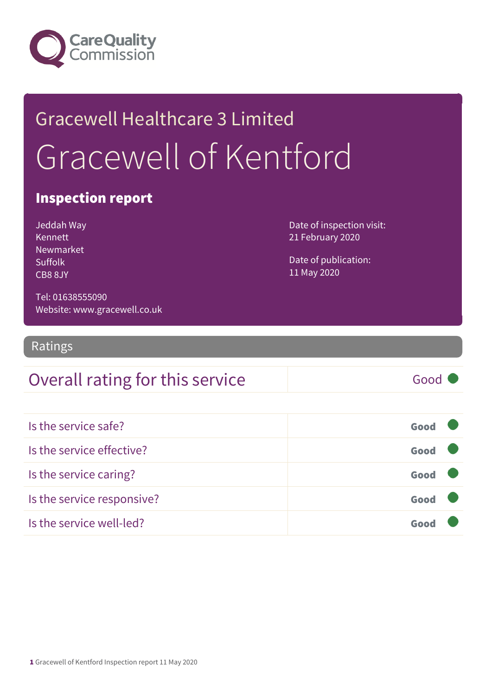

## Gracewell Healthcare 3 Limited Gracewell of Kentford

### Inspection report

Jeddah Way Kennett Newmarket Suffolk CB8 8JY

Date of inspection visit: 21 February 2020

Date of publication: 11 May 2020

Tel: 01638555090 Website: www.gracewell.co.uk

Ratings

### Overall rating for this service and all the Good

Is the service safe? Good Is the service effective? Good Is the service caring? Good Is the service responsive? Good Is the service well-led? Good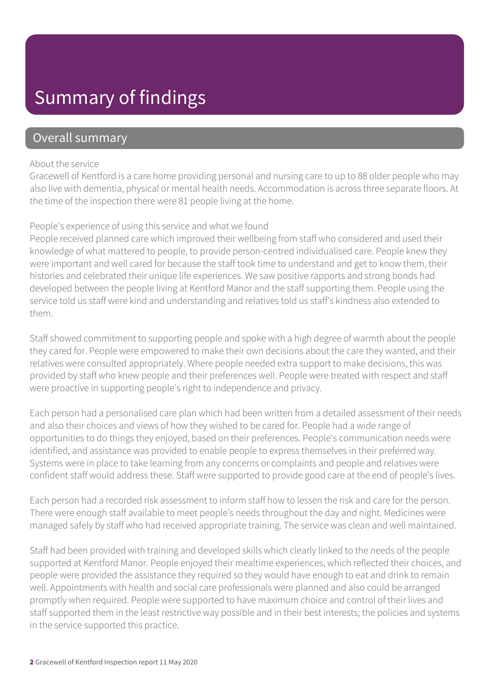### Summary of findings

### Overall summary

#### About the service

Gracewell of Kentford is a care home providing personal and nursing care to up to 88 older people who may also live with dementia, physical or mental health needs. Accommodation is across three separate floors. At the time of the inspection there were 81 people living at the home.

#### People's experience of using this service and what we found

People received planned care which improved their wellbeing from staff who considered and used their knowledge of what mattered to people, to provide person-centred individualised care. People knew they were important and well cared for because the staff took time to understand and get to know them, their histories and celebrated their unique life experiences. We saw positive rapports and strong bonds had developed between the people living at Kentford Manor and the staff supporting them. People using the service told us staff were kind and understanding and relatives told us staff's kindness also extended to them.

Staff showed commitment to supporting people and spoke with a high degree of warmth about the people they cared for. People were empowered to make their own decisions about the care they wanted, and their relatives were consulted appropriately. Where people needed extra support to make decisions, this was provided by staff who knew people and their preferences well. People were treated with respect and staff were proactive in supporting people's right to independence and privacy.

Each person had a personalised care plan which had been written from a detailed assessment of their needs and also their choices and views of how they wished to be cared for. People had a wide range of opportunities to do things they enjoyed, based on their preferences. People's communication needs were identified, and assistance was provided to enable people to express themselves in their preferred way. Systems were in place to take learning from any concerns or complaints and people and relatives were confident staff would address these. Staff were supported to provide good care at the end of people's lives.

Each person had a recorded risk assessment to inform staff how to lessen the risk and care for the person. There were enough staff available to meet people's needs throughout the day and night. Medicines were managed safely by staff who had received appropriate training. The service was clean and well maintained.

Staff had been provided with training and developed skills which clearly linked to the needs of the people supported at Kentford Manor. People enjoyed their mealtime experiences, which reflected their choices, and people were provided the assistance they required so they would have enough to eat and drink to remain well. Appointments with health and social care professionals were planned and also could be arranged promptly when required. People were supported to have maximum choice and control of their lives and staff supported them in the least restrictive way possible and in their best interests; the policies and systems in the service supported this practice.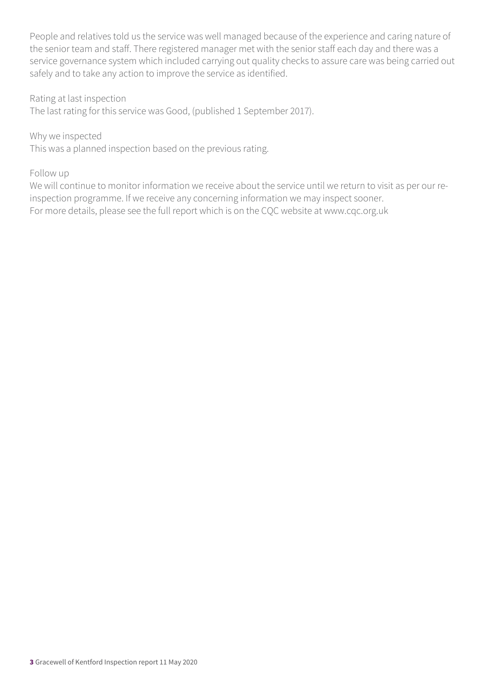People and relatives told us the service was well managed because of the experience and caring nature of the senior team and staff. There registered manager met with the senior staff each day and there was a service governance system which included carrying out quality checks to assure care was being carried out safely and to take any action to improve the service as identified.

Rating at last inspection

The last rating for this service was Good, (published 1 September 2017).

Why we inspected

This was a planned inspection based on the previous rating.

#### Follow up

We will continue to monitor information we receive about the service until we return to visit as per our reinspection programme. If we receive any concerning information we may inspect sooner. For more details, please see the full report which is on the CQC website at www.cqc.org.uk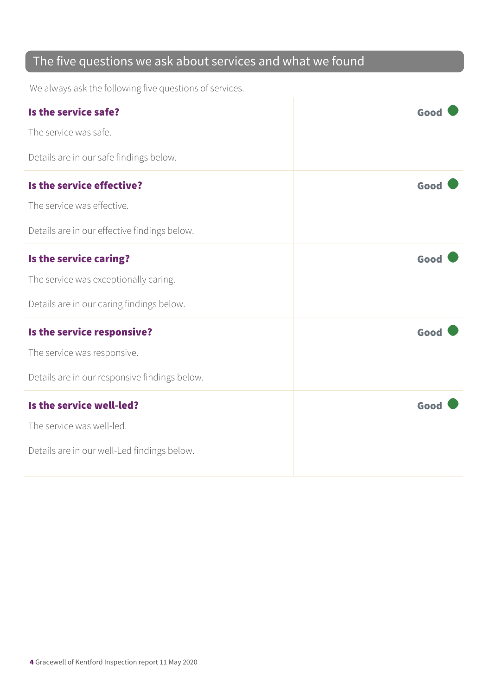### The five questions we ask about services and what we found

We always ask the following five questions of services.

| Is the service safe?<br>The service was safe.                                                                | Good |
|--------------------------------------------------------------------------------------------------------------|------|
| Details are in our safe findings below.                                                                      |      |
| Is the service effective?<br>The service was effective.<br>Details are in our effective findings below.      | Good |
| Is the service caring?<br>The service was exceptionally caring.<br>Details are in our caring findings below. | Good |
| Is the service responsive?<br>The service was responsive.<br>Details are in our responsive findings below.   | Good |
| Is the service well-led?<br>The service was well-led.<br>Details are in our well-Led findings below.         | Good |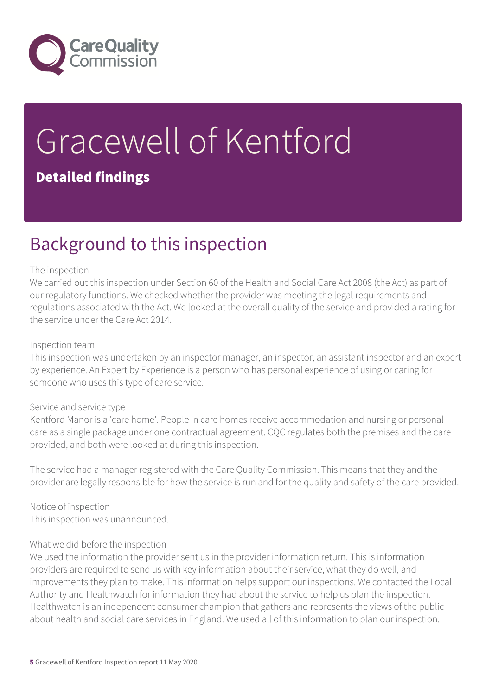

# Gracewell of Kentford

### Detailed findings

### Background to this inspection

#### The inspection

We carried out this inspection under Section 60 of the Health and Social Care Act 2008 (the Act) as part of our regulatory functions. We checked whether the provider was meeting the legal requirements and regulations associated with the Act. We looked at the overall quality of the service and provided a rating for the service under the Care Act 2014.

#### Inspection team

This inspection was undertaken by an inspector manager, an inspector, an assistant inspector and an expert by experience. An Expert by Experience is a person who has personal experience of using or caring for someone who uses this type of care service.

#### Service and service type

Kentford Manor is a 'care home'. People in care homes receive accommodation and nursing or personal care as a single package under one contractual agreement. CQC regulates both the premises and the care provided, and both were looked at during this inspection.

The service had a manager registered with the Care Quality Commission. This means that they and the provider are legally responsible for how the service is run and for the quality and safety of the care provided.

Notice of inspection This inspection was unannounced.

#### What we did before the inspection

We used the information the provider sent us in the provider information return. This is information providers are required to send us with key information about their service, what they do well, and improvements they plan to make. This information helps support our inspections. We contacted the Local Authority and Healthwatch for information they had about the service to help us plan the inspection. Healthwatch is an independent consumer champion that gathers and represents the views of the public about health and social care services in England. We used all of this information to plan our inspection.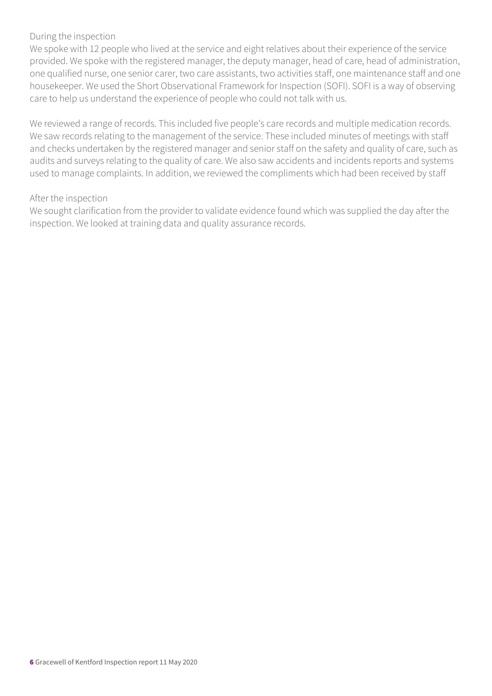#### During the inspection

We spoke with 12 people who lived at the service and eight relatives about their experience of the service provided. We spoke with the registered manager, the deputy manager, head of care, head of administration, one qualified nurse, one senior carer, two care assistants, two activities staff, one maintenance staff and one housekeeper. We used the Short Observational Framework for Inspection (SOFI). SOFI is a way of observing care to help us understand the experience of people who could not talk with us.

We reviewed a range of records. This included five people's care records and multiple medication records. We saw records relating to the management of the service. These included minutes of meetings with staff and checks undertaken by the registered manager and senior staff on the safety and quality of care, such as audits and surveys relating to the quality of care. We also saw accidents and incidents reports and systems used to manage complaints. In addition, we reviewed the compliments which had been received by staff

#### After the inspection

We sought clarification from the provider to validate evidence found which was supplied the day after the inspection. We looked at training data and quality assurance records.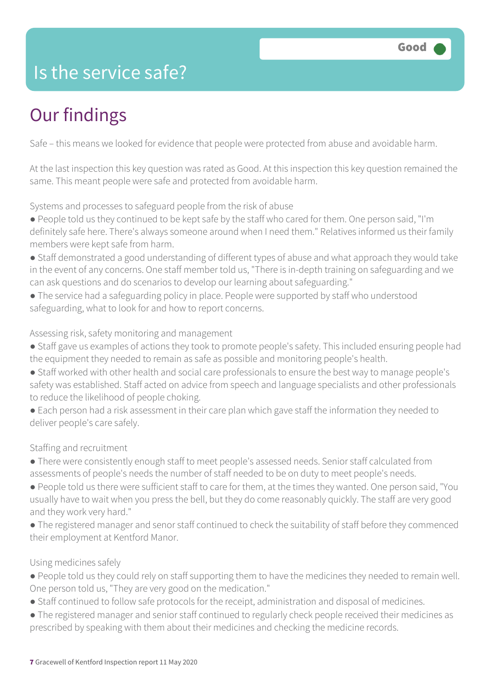### Is the service safe?

### Our findings

Safe – this means we looked for evidence that people were protected from abuse and avoidable harm.

At the last inspection this key question was rated as Good. At this inspection this key question remained the same. This meant people were safe and protected from avoidable harm.

Systems and processes to safeguard people from the risk of abuse

- People told us they continued to be kept safe by the staff who cared for them. One person said, "I'm definitely safe here. There's always someone around when I need them." Relatives informed us their family members were kept safe from harm.
- Staff demonstrated a good understanding of different types of abuse and what approach they would take in the event of any concerns. One staff member told us, "There is in-depth training on safeguarding and we can ask questions and do scenarios to develop our learning about safeguarding."
- The service had a safeguarding policy in place. People were supported by staff who understood safeguarding, what to look for and how to report concerns.

#### Assessing risk, safety monitoring and management

- Staff gave us examples of actions they took to promote people's safety. This included ensuring people had the equipment they needed to remain as safe as possible and monitoring people's health.
- Staff worked with other health and social care professionals to ensure the best way to manage people's safety was established. Staff acted on advice from speech and language specialists and other professionals to reduce the likelihood of people choking.
- Each person had a risk assessment in their care plan which gave staff the information they needed to deliver people's care safely.

### Staffing and recruitment

- There were consistently enough staff to meet people's assessed needs. Senior staff calculated from assessments of people's needs the number of staff needed to be on duty to meet people's needs.
- People told us there were sufficient staff to care for them, at the times they wanted. One person said, "You usually have to wait when you press the bell, but they do come reasonably quickly. The staff are very good and they work very hard."
- The registered manager and senor staff continued to check the suitability of staff before they commenced their employment at Kentford Manor.

### Using medicines safely

- People told us they could rely on staff supporting them to have the medicines they needed to remain well. One person told us, "They are very good on the medication."
- Staff continued to follow safe protocols for the receipt, administration and disposal of medicines.
- The registered manager and senior staff continued to regularly check people received their medicines as prescribed by speaking with them about their medicines and checking the medicine records.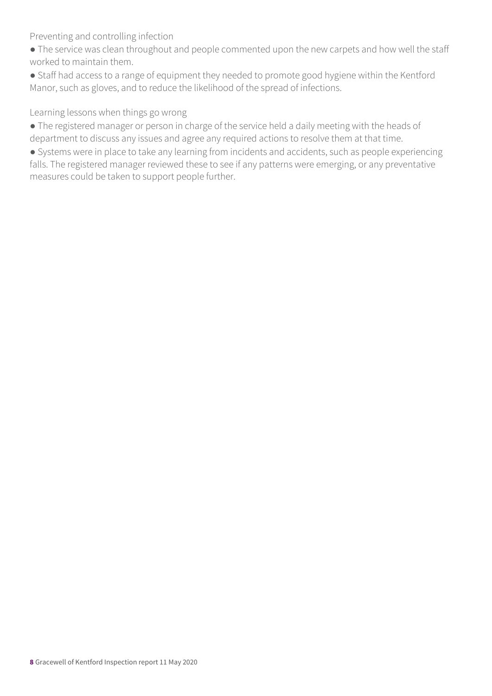Preventing and controlling infection

- The service was clean throughout and people commented upon the new carpets and how well the staff worked to maintain them.
- Staff had access to a range of equipment they needed to promote good hygiene within the Kentford Manor, such as gloves, and to reduce the likelihood of the spread of infections.

Learning lessons when things go wrong

- The registered manager or person in charge of the service held a daily meeting with the heads of department to discuss any issues and agree any required actions to resolve them at that time.
- Systems were in place to take any learning from incidents and accidents, such as people experiencing falls. The registered manager reviewed these to see if any patterns were emerging, or any preventative measures could be taken to support people further.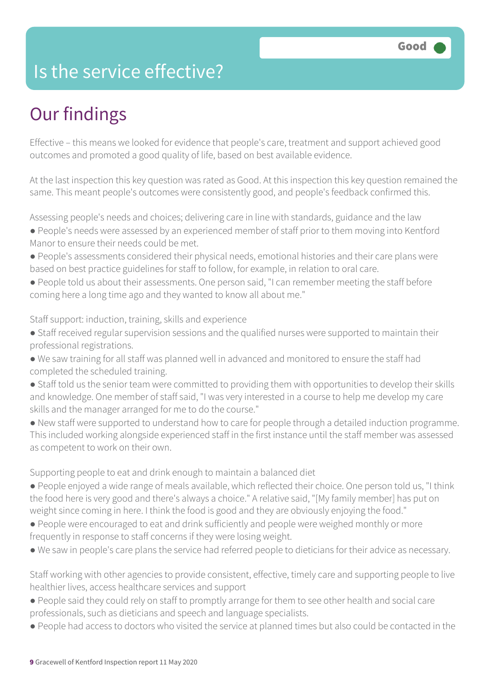### Is the service effective?

### Our findings

Effective – this means we looked for evidence that people's care, treatment and support achieved good outcomes and promoted a good quality of life, based on best available evidence.

At the last inspection this key question was rated as Good. At this inspection this key question remained the same. This meant people's outcomes were consistently good, and people's feedback confirmed this.

Assessing people's needs and choices; delivering care in line with standards, guidance and the law

- People's needs were assessed by an experienced member of staff prior to them moving into Kentford Manor to ensure their needs could be met.
- People's assessments considered their physical needs, emotional histories and their care plans were based on best practice guidelines for staff to follow, for example, in relation to oral care.
- People told us about their assessments. One person said, "I can remember meeting the staff before coming here a long time ago and they wanted to know all about me."

Staff support: induction, training, skills and experience

- Staff received regular supervision sessions and the qualified nurses were supported to maintain their professional registrations.
- We saw training for all staff was planned well in advanced and monitored to ensure the staff had completed the scheduled training.
- Staff told us the senior team were committed to providing them with opportunities to develop their skills and knowledge. One member of staff said, "I was very interested in a course to help me develop my care skills and the manager arranged for me to do the course."
- New staff were supported to understand how to care for people through a detailed induction programme. This included working alongside experienced staff in the first instance until the staff member was assessed as competent to work on their own.

Supporting people to eat and drink enough to maintain a balanced diet

- People enjoyed a wide range of meals available, which reflected their choice. One person told us, "I think the food here is very good and there's always a choice." A relative said, "[My family member] has put on weight since coming in here. I think the food is good and they are obviously enjoying the food."
- People were encouraged to eat and drink sufficiently and people were weighed monthly or more frequently in response to staff concerns if they were losing weight.
- We saw in people's care plans the service had referred people to dieticians for their advice as necessary.

Staff working with other agencies to provide consistent, effective, timely care and supporting people to live healthier lives, access healthcare services and support

- People said they could rely on staff to promptly arrange for them to see other health and social care professionals, such as dieticians and speech and language specialists.
- People had access to doctors who visited the service at planned times but also could be contacted in the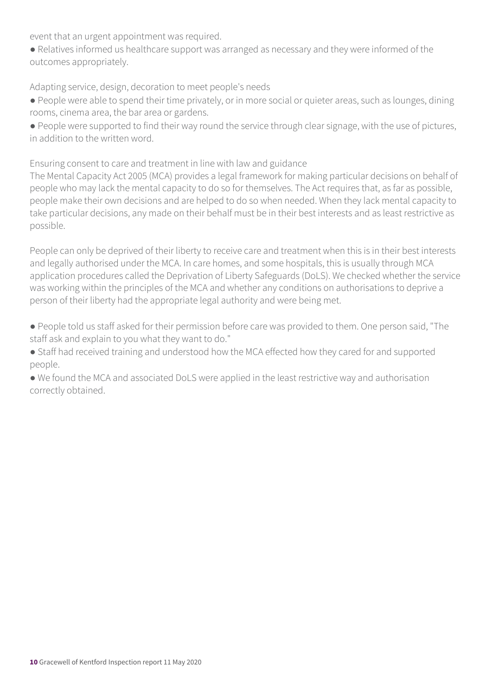event that an urgent appointment was required.

● Relatives informed us healthcare support was arranged as necessary and they were informed of the outcomes appropriately.

Adapting service, design, decoration to meet people's needs

● People were able to spend their time privately, or in more social or quieter areas, such as lounges, dining rooms, cinema area, the bar area or gardens.

● People were supported to find their way round the service through clear signage, with the use of pictures, in addition to the written word.

Ensuring consent to care and treatment in line with law and guidance

The Mental Capacity Act 2005 (MCA) provides a legal framework for making particular decisions on behalf of people who may lack the mental capacity to do so for themselves. The Act requires that, as far as possible, people make their own decisions and are helped to do so when needed. When they lack mental capacity to take particular decisions, any made on their behalf must be in their best interests and as least restrictive as possible.

People can only be deprived of their liberty to receive care and treatment when this is in their best interests and legally authorised under the MCA. In care homes, and some hospitals, this is usually through MCA application procedures called the Deprivation of Liberty Safeguards (DoLS). We checked whether the service was working within the principles of the MCA and whether any conditions on authorisations to deprive a person of their liberty had the appropriate legal authority and were being met.

● People told us staff asked for their permission before care was provided to them. One person said, "The staff ask and explain to you what they want to do."

● Staff had received training and understood how the MCA effected how they cared for and supported people.

● We found the MCA and associated DoLS were applied in the least restrictive way and authorisation correctly obtained.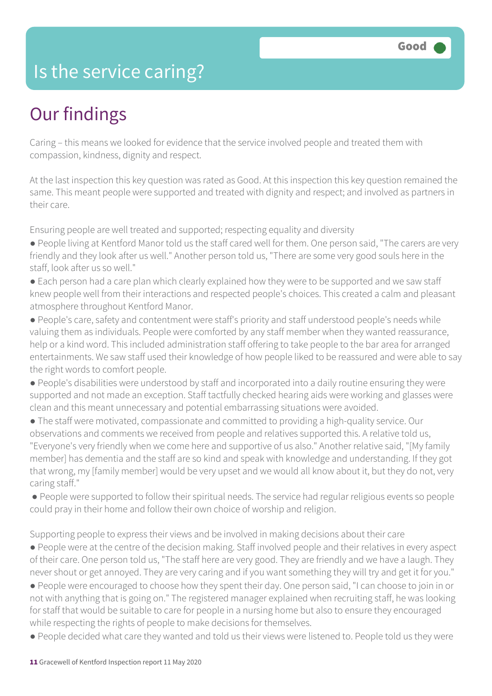### Is the service caring?

### Our findings

Caring – this means we looked for evidence that the service involved people and treated them with compassion, kindness, dignity and respect.

At the last inspection this key question was rated as Good. At this inspection this key question remained the same. This meant people were supported and treated with dignity and respect; and involved as partners in their care.

Ensuring people are well treated and supported; respecting equality and diversity

- People living at Kentford Manor told us the staff cared well for them. One person said, "The carers are very friendly and they look after us well." Another person told us, "There are some very good souls here in the staff, look after us so well."
- Each person had a care plan which clearly explained how they were to be supported and we saw staff knew people well from their interactions and respected people's choices. This created a calm and pleasant atmosphere throughout Kentford Manor.
- People's care, safety and contentment were staff's priority and staff understood people's needs while valuing them as individuals. People were comforted by any staff member when they wanted reassurance, help or a kind word. This included administration staff offering to take people to the bar area for arranged entertainments. We saw staff used their knowledge of how people liked to be reassured and were able to say the right words to comfort people.
- People's disabilities were understood by staff and incorporated into a daily routine ensuring they were supported and not made an exception. Staff tactfully checked hearing aids were working and glasses were clean and this meant unnecessary and potential embarrassing situations were avoided.
- The staff were motivated, compassionate and committed to providing a high-quality service. Our observations and comments we received from people and relatives supported this. A relative told us, "Everyone's very friendly when we come here and supportive of us also." Another relative said, "[My family member] has dementia and the staff are so kind and speak with knowledge and understanding. If they got that wrong, my [family member] would be very upset and we would all know about it, but they do not, very caring staff."
- People were supported to follow their spiritual needs. The service had regular religious events so people could pray in their home and follow their own choice of worship and religion.

Supporting people to express their views and be involved in making decisions about their care

- People were at the centre of the decision making. Staff involved people and their relatives in every aspect of their care. One person told us, "The staff here are very good. They are friendly and we have a laugh. They never shout or get annoyed. They are very caring and if you want something they will try and get it for you."
- People were encouraged to choose how they spent their day. One person said, "I can choose to join in or not with anything that is going on." The registered manager explained when recruiting staff, he was looking for staff that would be suitable to care for people in a nursing home but also to ensure they encouraged while respecting the rights of people to make decisions for themselves.
- People decided what care they wanted and told us their views were listened to. People told us they were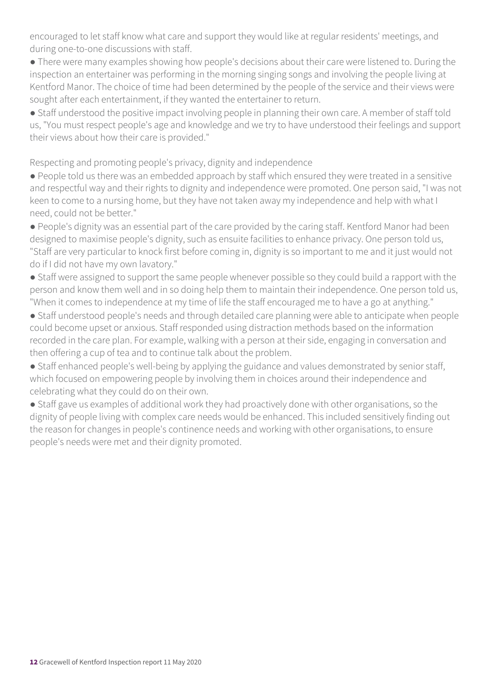encouraged to let staff know what care and support they would like at regular residents' meetings, and during one-to-one discussions with staff.

● There were many examples showing how people's decisions about their care were listened to. During the inspection an entertainer was performing in the morning singing songs and involving the people living at Kentford Manor. The choice of time had been determined by the people of the service and their views were sought after each entertainment, if they wanted the entertainer to return.

• Staff understood the positive impact involving people in planning their own care. A member of staff told us, "You must respect people's age and knowledge and we try to have understood their feelings and support their views about how their care is provided."

Respecting and promoting people's privacy, dignity and independence

● People told us there was an embedded approach by staff which ensured they were treated in a sensitive and respectful way and their rights to dignity and independence were promoted. One person said, "I was not keen to come to a nursing home, but they have not taken away my independence and help with what I need, could not be better."

● People's dignity was an essential part of the care provided by the caring staff. Kentford Manor had been designed to maximise people's dignity, such as ensuite facilities to enhance privacy. One person told us, "Staff are very particular to knock first before coming in, dignity is so important to me and it just would not do if I did not have my own lavatory."

• Staff were assigned to support the same people whenever possible so they could build a rapport with the person and know them well and in so doing help them to maintain their independence. One person told us, "When it comes to independence at my time of life the staff encouraged me to have a go at anything."

● Staff understood people's needs and through detailed care planning were able to anticipate when people could become upset or anxious. Staff responded using distraction methods based on the information recorded in the care plan. For example, walking with a person at their side, engaging in conversation and then offering a cup of tea and to continue talk about the problem.

• Staff enhanced people's well-being by applying the guidance and values demonstrated by senior staff, which focused on empowering people by involving them in choices around their independence and celebrating what they could do on their own.

• Staff gave us examples of additional work they had proactively done with other organisations, so the dignity of people living with complex care needs would be enhanced. This included sensitively finding out the reason for changes in people's continence needs and working with other organisations, to ensure people's needs were met and their dignity promoted.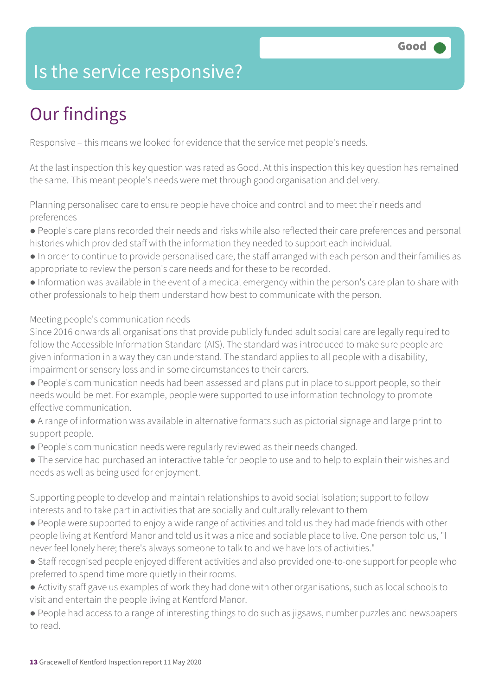### Is the service responsive?

### Our findings

Responsive – this means we looked for evidence that the service met people's needs.

At the last inspection this key question was rated as Good. At this inspection this key question has remained the same. This meant people's needs were met through good organisation and delivery.

Planning personalised care to ensure people have choice and control and to meet their needs and preferences

- People's care plans recorded their needs and risks while also reflected their care preferences and personal histories which provided staff with the information they needed to support each individual.
- In order to continue to provide personalised care, the staff arranged with each person and their families as appropriate to review the person's care needs and for these to be recorded.
- Information was available in the event of a medical emergency within the person's care plan to share with other professionals to help them understand how best to communicate with the person.

#### Meeting people's communication needs

Since 2016 onwards all organisations that provide publicly funded adult social care are legally required to follow the Accessible Information Standard (AIS). The standard was introduced to make sure people are given information in a way they can understand. The standard applies to all people with a disability, impairment or sensory loss and in some circumstances to their carers.

- People's communication needs had been assessed and plans put in place to support people, so their needs would be met. For example, people were supported to use information technology to promote effective communication.
- A range of information was available in alternative formats such as pictorial signage and large print to support people.
- People's communication needs were regularly reviewed as their needs changed.
- The service had purchased an interactive table for people to use and to help to explain their wishes and needs as well as being used for enjoyment.

Supporting people to develop and maintain relationships to avoid social isolation; support to follow interests and to take part in activities that are socially and culturally relevant to them

- People were supported to enjoy a wide range of activities and told us they had made friends with other people living at Kentford Manor and told us it was a nice and sociable place to live. One person told us, "I never feel lonely here; there's always someone to talk to and we have lots of activities."
- Staff recognised people enjoyed different activities and also provided one-to-one support for people who preferred to spend time more quietly in their rooms.
- Activity staff gave us examples of work they had done with other organisations, such as local schools to visit and entertain the people living at Kentford Manor.
- People had access to a range of interesting things to do such as jigsaws, number puzzles and newspapers to read.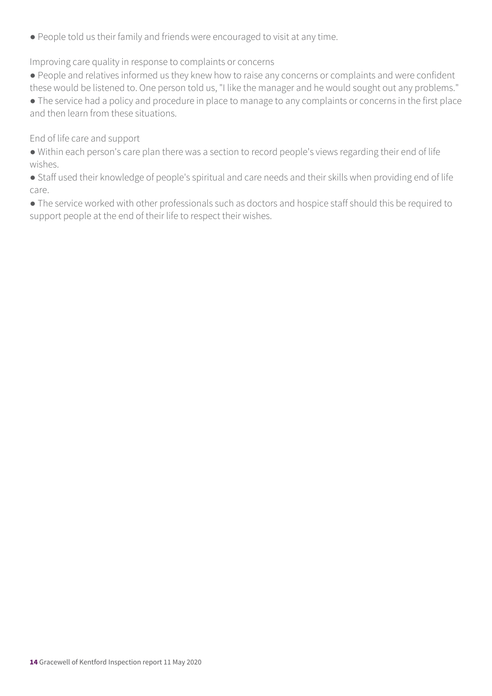● People told us their family and friends were encouraged to visit at any time.

#### Improving care quality in response to complaints or concerns

● People and relatives informed us they knew how to raise any concerns or complaints and were confident these would be listened to. One person told us, "I like the manager and he would sought out any problems."

● The service had a policy and procedure in place to manage to any complaints or concerns in the first place and then learn from these situations.

#### End of life care and support

● Within each person's care plan there was a section to record people's views regarding their end of life wishes.

● Staff used their knowledge of people's spiritual and care needs and their skills when providing end of life care.

● The service worked with other professionals such as doctors and hospice staff should this be required to support people at the end of their life to respect their wishes.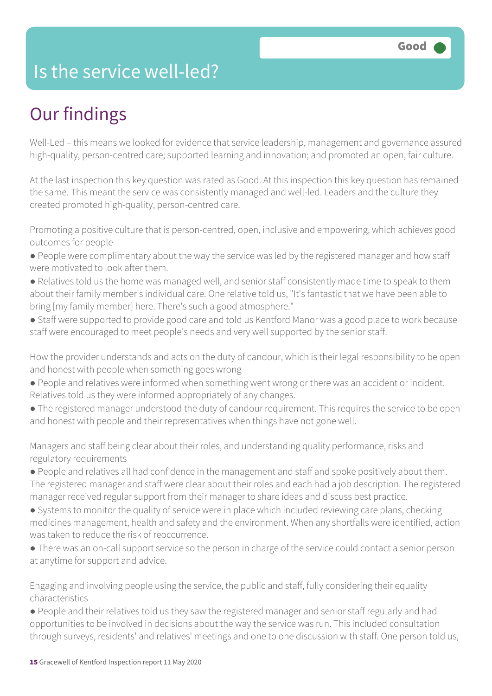### Is the service well-led?

### Our findings

Well-Led – this means we looked for evidence that service leadership, management and governance assured high-quality, person-centred care; supported learning and innovation; and promoted an open, fair culture.

At the last inspection this key question was rated as Good. At this inspection this key question has remained the same. This meant the service was consistently managed and well-led. Leaders and the culture they created promoted high-quality, person-centred care.

Promoting a positive culture that is person-centred, open, inclusive and empowering, which achieves good outcomes for people

- People were complimentary about the way the service was led by the registered manager and how staff were motivated to look after them.
- Relatives told us the home was managed well, and senior staff consistently made time to speak to them about their family member's individual care. One relative told us, "It's fantastic that we have been able to bring [my family member] here. There's such a good atmosphere."
- Staff were supported to provide good care and told us Kentford Manor was a good place to work because staff were encouraged to meet people's needs and very well supported by the senior staff.

How the provider understands and acts on the duty of candour, which is their legal responsibility to be open and honest with people when something goes wrong

- People and relatives were informed when something went wrong or there was an accident or incident. Relatives told us they were informed appropriately of any changes.
- The registered manager understood the duty of candour requirement. This requires the service to be open and honest with people and their representatives when things have not gone well.

Managers and staff being clear about their roles, and understanding quality performance, risks and regulatory requirements

- People and relatives all had confidence in the management and staff and spoke positively about them. The registered manager and staff were clear about their roles and each had a job description. The registered manager received regular support from their manager to share ideas and discuss best practice.
- Systems to monitor the quality of service were in place which included reviewing care plans, checking medicines management, health and safety and the environment. When any shortfalls were identified, action was taken to reduce the risk of reoccurrence.
- There was an on-call support service so the person in charge of the service could contact a senior person at anytime for support and advice.

Engaging and involving people using the service, the public and staff, fully considering their equality characteristics

● People and their relatives told us they saw the registered manager and senior staff regularly and had opportunities to be involved in decisions about the way the service was run. This included consultation through surveys, residents' and relatives' meetings and one to one discussion with staff. One person told us,